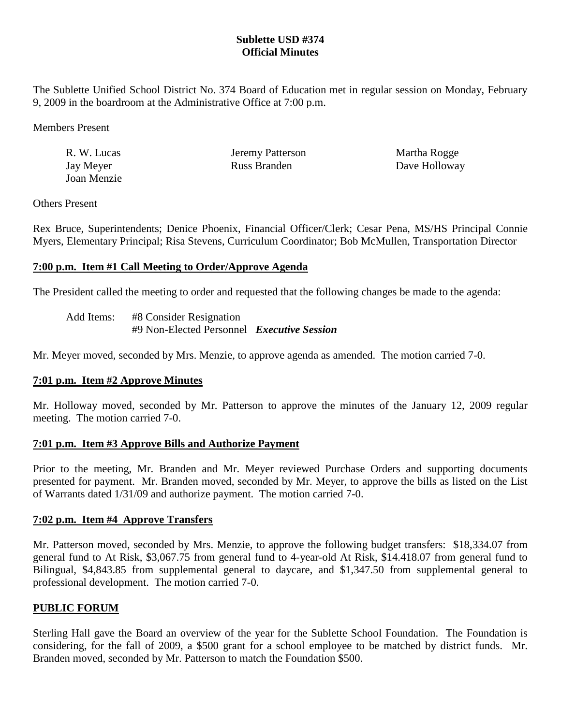# **Sublette USD #374 Official Minutes**

The Sublette Unified School District No. 374 Board of Education met in regular session on Monday, February 9, 2009 in the boardroom at the Administrative Office at 7:00 p.m.

Members Present

| R. W. Lucas | Jeremy Patterson | Martha Rogge  |
|-------------|------------------|---------------|
| Jay Meyer   | Russ Branden     | Dave Holloway |
| Joan Menzie |                  |               |

## Others Present

Rex Bruce, Superintendents; Denice Phoenix, Financial Officer/Clerk; Cesar Pena, MS/HS Principal Connie Myers, Elementary Principal; Risa Stevens, Curriculum Coordinator; Bob McMullen, Transportation Director

# **7:00 p.m. Item #1 Call Meeting to Order/Approve Agenda**

The President called the meeting to order and requested that the following changes be made to the agenda:

| Add Items: | #8 Consider Resignation                           |  |
|------------|---------------------------------------------------|--|
|            | #9 Non-Elected Personnel <i>Executive Session</i> |  |

Mr. Meyer moved, seconded by Mrs. Menzie, to approve agenda as amended. The motion carried 7-0.

# **7:01 p.m. Item #2 Approve Minutes**

Mr. Holloway moved, seconded by Mr. Patterson to approve the minutes of the January 12, 2009 regular meeting. The motion carried 7-0.

### **7:01 p.m. Item #3 Approve Bills and Authorize Payment**

Prior to the meeting, Mr. Branden and Mr. Meyer reviewed Purchase Orders and supporting documents presented for payment. Mr. Branden moved, seconded by Mr. Meyer, to approve the bills as listed on the List of Warrants dated 1/31/09 and authorize payment. The motion carried 7-0.

### **7:02 p.m. Item #4 Approve Transfers**

Mr. Patterson moved, seconded by Mrs. Menzie, to approve the following budget transfers: \$18,334.07 from general fund to At Risk, \$3,067.75 from general fund to 4-year-old At Risk, \$14.418.07 from general fund to Bilingual, \$4,843.85 from supplemental general to daycare, and \$1,347.50 from supplemental general to professional development. The motion carried 7-0.

# **PUBLIC FORUM**

Sterling Hall gave the Board an overview of the year for the Sublette School Foundation. The Foundation is considering, for the fall of 2009, a \$500 grant for a school employee to be matched by district funds. Mr. Branden moved, seconded by Mr. Patterson to match the Foundation \$500.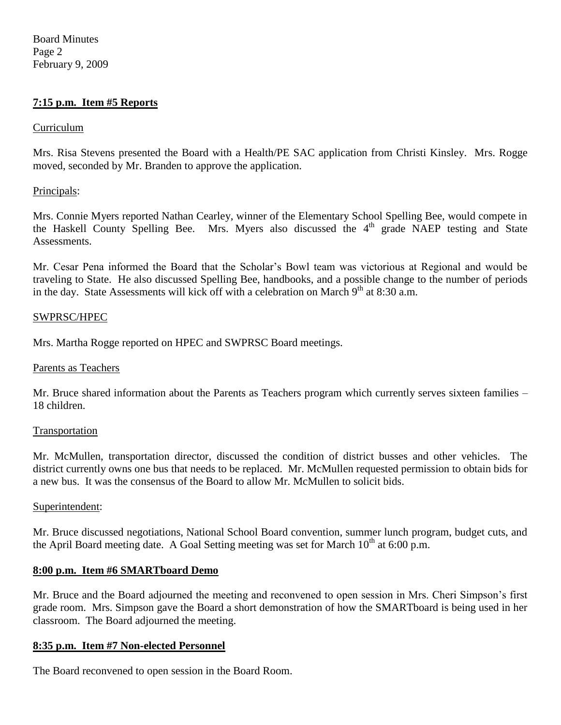Board Minutes Page 2 February 9, 2009

## **7:15 p.m. Item #5 Reports**

#### Curriculum

Mrs. Risa Stevens presented the Board with a Health/PE SAC application from Christi Kinsley. Mrs. Rogge moved, seconded by Mr. Branden to approve the application.

#### Principals:

Mrs. Connie Myers reported Nathan Cearley, winner of the Elementary School Spelling Bee, would compete in the Haskell County Spelling Bee. Mrs. Myers also discussed the 4<sup>th</sup> grade NAEP testing and State Assessments.

Mr. Cesar Pena informed the Board that the Scholar's Bowl team was victorious at Regional and would be traveling to State. He also discussed Spelling Bee, handbooks, and a possible change to the number of periods in the day. State Assessments will kick off with a celebration on March  $9<sup>th</sup>$  at 8:30 a.m.

### SWPRSC/HPEC

Mrs. Martha Rogge reported on HPEC and SWPRSC Board meetings.

#### Parents as Teachers

Mr. Bruce shared information about the Parents as Teachers program which currently serves sixteen families – 18 children.

#### Transportation

Mr. McMullen, transportation director, discussed the condition of district busses and other vehicles. The district currently owns one bus that needs to be replaced. Mr. McMullen requested permission to obtain bids for a new bus. It was the consensus of the Board to allow Mr. McMullen to solicit bids.

#### Superintendent:

Mr. Bruce discussed negotiations, National School Board convention, summer lunch program, budget cuts, and the April Board meeting date. A Goal Setting meeting was set for March  $10^{th}$  at 6:00 p.m.

### **8:00 p.m. Item #6 SMARTboard Demo**

Mr. Bruce and the Board adjourned the meeting and reconvened to open session in Mrs. Cheri Simpson's first grade room. Mrs. Simpson gave the Board a short demonstration of how the SMARTboard is being used in her classroom. The Board adjourned the meeting.

#### **8:35 p.m. Item #7 Non-elected Personnel**

The Board reconvened to open session in the Board Room.